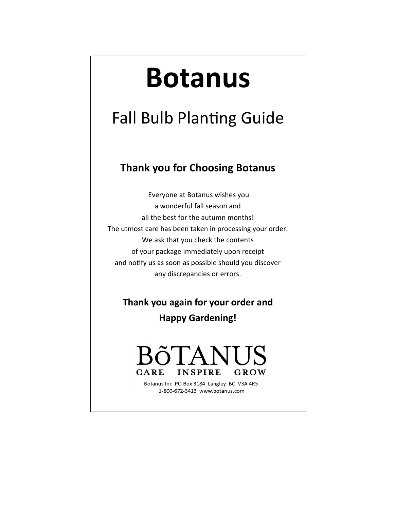# **Botanus**

# Fall Bulb Planting Guide

## **Thank you for Choosing Botanus**

Everyone at Botanus wishes you a wonderful fall season and all the best for the autumn months! The utmost care has been taken in processing your order. We ask that you check the contents of your package immediately upon receipt and notify us as soon as possible should you discover any discrepancies or errors.

**Thank you again for your order and** 

**Happy Gardening!**

### **CARE INSPIRE** GROW

Botanus Inc PO Box 3184 Langley BC V3A 4R5 1-800-672-3413 www.botanus.com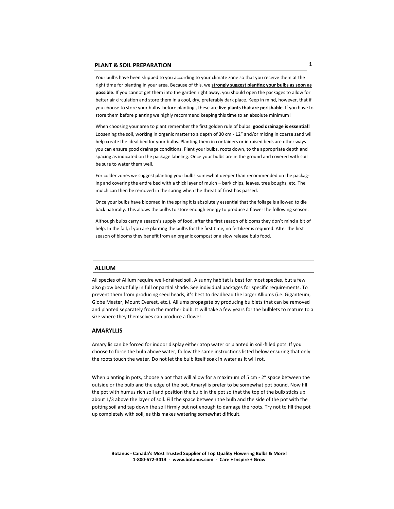Your bulbs have been shipped to you according to your climate zone so that you receive them at the right time for planting in your area. Because of this, we **strongly suggest planting your bulbs as soon as possible**. If you cannot get them into the garden right away, you should open the packages to allow for better air circulation and store them in a cool, dry, preferably dark place. Keep in mind, however, that if you choose to store your bulbs before planting , these are **live plants that are perishable**. If you have to store them before planting we highly recommend keeping this time to an absolute minimum!

When choosing your area to plant remember the first golden rule of bulbs: good drainage is essential! Loosening the soil, working in organic matter to a depth of 30 cm - 12" and/or mixing in coarse sand will help create the ideal bed for your bulbs. Planting them in containers or in raised beds are other ways you can ensure good drainage conditions. Plant your bulbs, roots down, to the appropriate depth and spacing as indicated on the package labeling. Once your bulbs are in the ground and covered with soil be sure to water them well.

For colder zones we suggest planting your bulbs somewhat deeper than recommended on the packaging and covering the entire bed with a thick layer of mulch – bark chips, leaves, tree boughs, etc. The mulch can then be removed in the spring when the threat of frost has passed.

Once your bulbs have bloomed in the spring it is absolutely essential that the foliage is allowed to die back naturally. This allows the bulbs to store enough energy to produce a flower the following season.

Although bulbs carry a season's supply of food, after the first season of blooms they don't mind a bit of help. In the fall, if you are planting the bulbs for the first time, no fertilizer is required. After the first season of blooms they benefit from an organic compost or a slow release bulb food.

#### **ALLIUM**

All species of Allium require well-drained soil. A sunny habitat is best for most species, but a few also grow beautifully in full or partial shade. See individual packages for specific requirements. To prevent them from producing seed heads, it's best to deadhead the larger Alliums (i.e. Giganteum, Globe Master, Mount Everest, etc.). Alliums propagate by producing bulblets that can be removed and planted separately from the mother bulb. It will take a few years for the bulblets to mature to a size where they themselves can produce a flower.

#### **AMARYLLIS**

Amaryllis can be forced for indoor display either atop water or planted in soil-filled pots. If you choose to force the bulb above water, follow the same instructions listed below ensuring that only the roots touch the water. Do not let the bulb itself soak in water as it will rot.

When planting in pots, choose a pot that will allow for a maximum of 5 cm - 2" space between the outside or the bulb and the edge of the pot. Amaryllis prefer to be somewhat pot bound. Now fill the pot with humus rich soil and position the bulb in the pot so that the top of the bulb sticks up about 1/3 above the layer of soil. Fill the space between the bulb and the side of the pot with the potting soil and tap down the soil firmly but not enough to damage the roots. Try not to fill the pot up completely with soil, as this makes watering somewhat difficult.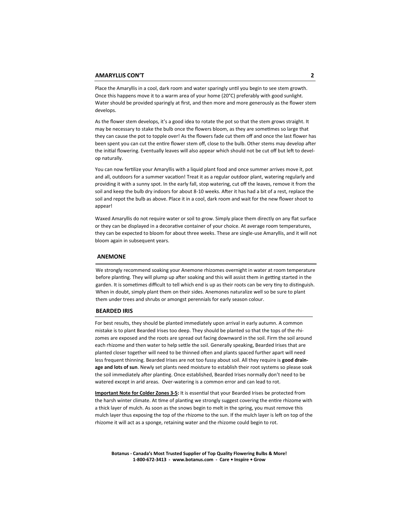Place the Amaryllis in a cool, dark room and water sparingly until you begin to see stem growth. Once this happens move it to a warm area of your home (20°C) preferably with good sunlight. Water should be provided sparingly at first, and then more and more generously as the flower stem develops.

As the flower stem develops, it's a good idea to rotate the pot so that the stem grows straight. It may be necessary to stake the bulb once the flowers bloom, as they are sometimes so large that they can cause the pot to topple over! As the flowers fade cut them off and once the last flower has been spent you can cut the entire flower stem off, close to the bulb. Other stems may develop after the initial flowering. Eventually leaves will also appear which should not be cut off but left to develop naturally.

You can now fertilize your Amaryllis with a liquid plant food and once summer arrives move it, pot and all, outdoors for a summer vacation! Treat it as a regular outdoor plant, watering regularly and providing it with a sunny spot. In the early fall, stop watering, cut off the leaves, remove it from the soil and keep the bulb dry indoors for about 8-10 weeks. After it has had a bit of a rest, replace the soil and repot the bulb as above. Place it in a cool, dark room and wait for the new flower shoot to appear!

Waxed Amaryllis do not require water or soil to grow. Simply place them directly on any flat surface or they can be displayed in a decorative container of your choice. At average room temperatures, they can be expected to bloom for about three weeks. These are single-use Amaryllis, and it will not bloom again in subsequent years.

#### **ANEMONE**

We strongly recommend soaking your Anemone rhizomes overnight in water at room temperature before planting. They will plump up after soaking and this will assist them in getting started in the garden. It is sometimes difficult to tell which end is up as their roots can be very tiny to distinguish. When in doubt, simply plant them on their sides. Anemones naturalize well so be sure to plant them under trees and shrubs or amongst perennials for early season colour.

#### **BEARDED IRIS**

For best results, they should be planted immediately upon arrival in early autumn. A common mistake is to plant Bearded Irises too deep. They should be planted so that the tops of the rhizomes are exposed and the roots are spread out facing downward in the soil. Firm the soil around each rhizome and then water to help settle the soil. Generally speaking, Bearded Irises that are planted closer together will need to be thinned often and plants spaced further apart will need less frequent thinning. Bearded Irises are not too fussy about soil. All they require is **good drainage and lots of sun**. Newly set plants need moisture to establish their root systems so please soak the soil immediately after planting. Once established, Bearded Irises normally don't need to be watered except in arid areas. Over-watering is a common error and can lead to rot.

**Important Note for Colder Zones 3-5:** It is essential that your Bearded Irises be protected from the harsh winter climate. At time of planting we strongly suggest covering the entire rhizome with a thick layer of mulch. As soon as the snows begin to melt in the spring, you must remove this mulch layer thus exposing the top of the rhizome to the sun. If the mulch layer is left on top of the rhizome it will act as a sponge, retaining water and the rhizome could begin to rot.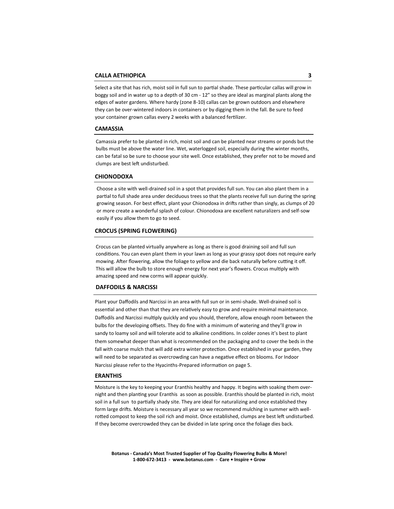Select a site that has rich, moist soil in full sun to partial shade. These particular callas will grow in boggy soil and in water up to a depth of 30 cm - 12" so they are ideal as marginal plants along the edges of water gardens. Where hardy (zone 8-10) callas can be grown outdoors and elsewhere they can be over-wintered indoors in containers or by digging them in the fall. Be sure to feed your container grown callas every 2 weeks with a balanced fertilizer.

#### **CAMASSIA**

Camassia prefer to be planted in rich, moist soil and can be planted near streams or ponds but the bulbs must be above the water line. Wet, waterlogged soil, especially during the winter months, can be fatal so be sure to choose your site well. Once established, they prefer not to be moved and clumps are best left undisturbed.

#### **CHIONODOXA**

Choose a site with well-drained soil in a spot that provides full sun. You can also plant them in a partial to full shade area under deciduous trees so that the plants receive full sun during the spring growing season. For best effect, plant your Chionodoxa in drifts rather than singly, as clumps of 20 or more create a wonderful splash of colour. Chionodoxa are excellent naturalizers and self-sow easily if you allow them to go to seed.

#### **CROCUS (SPRING FLOWERING)**

Crocus can be planted virtually anywhere as long as there is good draining soil and full sun conditions. You can even plant them in your lawn as long as your grassy spot does not require early mowing. After flowering, allow the foliage to yellow and die back naturally before cutting it off. This will allow the bulb to store enough energy for next year's flowers. Crocus multiply with amazing speed and new corms will appear quickly.

#### **DAFFODILS & NARCISSI**

Plant your Daffodils and Narcissi in an area with full sun or in semi-shade. Well-drained soil is essential and other than that they are relatively easy to grow and require minimal maintenance. Daffodils and Narcissi multiply quickly and you should, therefore, allow enough room between the bulbs for the developing offsets. They do fine with a minimum of watering and they'll grow in sandy to loamy soil and will tolerate acid to alkaline conditions. In colder zones it's best to plant them somewhat deeper than what is recommended on the packaging and to cover the beds in the fall with coarse mulch that will add extra winter protection. Once established in your garden, they will need to be separated as overcrowding can have a negative effect on blooms. For Indoor Narcissi please refer to the Hyacinths-Prepared information on page 5.

#### **ERANTHIS**

Moisture is the key to keeping your Eranthis healthy and happy. It begins with soaking them overnight and then planting your Eranthis as soon as possible. Eranthis should be planted in rich, moist soil in a full sun to partially shady site. They are ideal for naturalizing and once established they form large drifts. Moisture is necessary all year so we recommend mulching in summer with wellrotted compost to keep the soil rich and moist. Once established, clumps are best left undisturbed. If they become overcrowded they can be divided in late spring once the foliage dies back.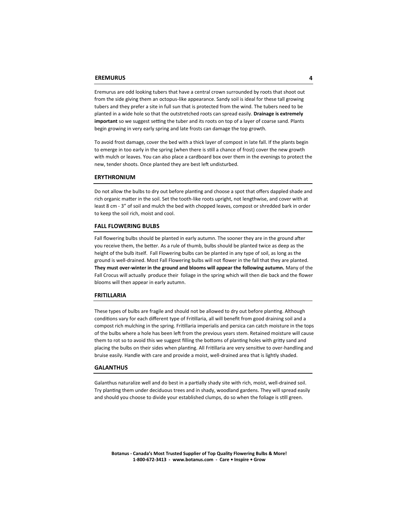Eremurus are odd looking tubers that have a central crown surrounded by roots that shoot out from the side giving them an octopus-like appearance. Sandy soil is ideal for these tall growing tubers and they prefer a site in full sun that is protected from the wind. The tubers need to be planted in a wide hole so that the outstretched roots can spread easily. **Drainage is extremely important** so we suggest setting the tuber and its roots on top of a layer of coarse sand. Plants begin growing in very early spring and late frosts can damage the top growth.

To avoid frost damage, cover the bed with a thick layer of compost in late fall. If the plants begin to emerge in too early in the spring (when there is still a chance of frost) cover the new growth with mulch or leaves. You can also place a cardboard box over them in the evenings to protect the new, tender shoots. Once planted they are best left undisturbed.

#### **ERYTHRONIUM**

Do not allow the bulbs to dry out before planting and choose a spot that offers dappled shade and rich organic matter in the soil. Set the tooth-like roots upright, not lengthwise, and cover with at least 8 cm - 3" of soil and mulch the bed with chopped leaves, compost or shredded bark in order to keep the soil rich, moist and cool.

#### **FALL FLOWERING BULBS**

Fall flowering bulbs should be planted in early autumn. The sooner they are in the ground after you receive them, the better. As a rule of thumb, bulbs should be planted twice as deep as the height of the bulb itself. Fall Flowering bulbs can be planted in any type of soil, as long as the ground is well-drained. Most Fall Flowering bulbs will not flower in the fall that they are planted. **They must over-winter in the ground and blooms will appear the following autumn.** Many of the Fall Crocus will actually produce their foliage in the spring which will then die back and the flower blooms will then appear in early autumn.

#### **FRITILLARIA**

These types of bulbs are fragile and should not be allowed to dry out before planting. Although conditions vary for each different type of Fritillaria, all will benefit from good draining soil and a compost rich mulching in the spring. Fritillaria imperialis and persica can catch moisture in the tops of the bulbs where a hole has been left from the previous years stem. Retained moisture will cause them to rot so to avoid this we suggest filling the bottoms of planting holes with gritty sand and placing the bulbs on their sides when planting. All Fritillaria are very sensitive to over-handling and bruise easily. Handle with care and provide a moist, well-drained area that is lightly shaded.

#### **GALANTHUS**

Galanthus naturalize well and do best in a partially shady site with rich, moist, well-drained soil. Try planting them under deciduous trees and in shady, woodland gardens. They will spread easily and should you choose to divide your established clumps, do so when the foliage is still green.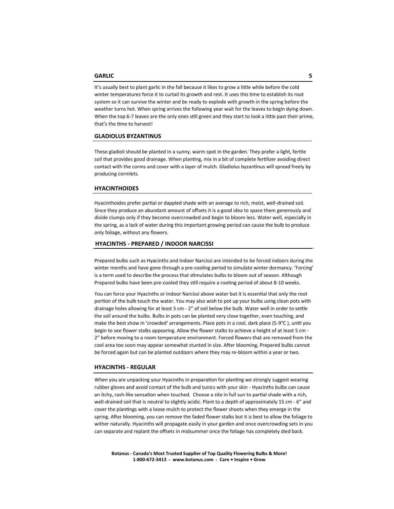It's usually best to plant garlic in the fall because it likes to grow a little while before the cold winter temperatures force it to curtail its growth and rest. It uses this time to establish its root system so it can survive the winter and be ready to explode with growth in the spring before the weather turns hot. When spring arrives the following year wait for the leaves to begin dying down. When the top 6-7 leaves are the only ones still green and they start to look a little past their prime, that's the time to harvest!

#### **GLADIOLUS BYZANTINUS**

These gladioli should be planted in a sunny, warm spot in the garden. They prefer a light, fertile soil that provides good drainage. When planting, mix in a bit of complete fertilizer avoiding direct contact with the corms and cover with a layer of mulch. Gladiolus byzantinus will spread freely by producing cormlets.

#### **HYACINTHOIDES**

Hyacinthoides prefer partial or dappled shade with an average to rich, moist, well-drained soil. Since they produce an abundant amount of offsets it is a good idea to space them generously and divide clumps only if they become overcrowded and begin to bloom less. Water well, especially in the spring, as a lack of water during this important growing period can cause the bulb to produce only foliage, without any flowers.

#### **HYACINTHS - PREPARED / INDOOR NARCISSI**

Prepared bulbs such as Hyacinths and Indoor Narcissi are intended to be forced indoors during the winter months and have gone through a pre-cooling period to simulate winter dormancy. 'Forcing' is a term used to describe the process that stimulates bulbs to bloom out of season. Although Prepared bulbs have been pre-cooled they still require a rooting period of about 8-10 weeks.

You can force your Hyacinths or Indoor Narcissi above water but it is essential that only the root portion of the bulb touch the water. You may also wish to pot up your bulbs using clean pots with drainage holes allowing for at least 5 cm - 2" of soil below the bulb. Water well in order to settle the soil around the bulbs. Bulbs in pots can be planted very close together, even touching, and make the best show in 'crowded' arrangements. Place pots in a cool, dark place (5-9°C), until you begin to see flower stalks appearing. Allow the flower stalks to achieve a height of at least 5 cm - 2" before moving to a room temperature environment. Forced flowers that are removed from the cool area too soon may appear somewhat stunted in size. After blooming, Prepared bulbs cannot be forced again but can be planted outdoors where they may re-bloom within a year or two.

#### **HYACINTHS - REGULAR**

When you are unpacking your Hyacinths in preparation for planting we strongly suggest wearing rubber gloves and avoid contact of the bulb and tunics with your skin - Hyacinths bulbs can cause an itchy, rash-like sensation when touched. Choose a site in full sun to partial shade with a rich, well-drained soil that is neutral to slightly acidic. Plant to a depth of approximately 15 cm - 6" and cover the plantings with a loose mulch to protect the flower shoots when they emerge in the spring. After blooming, you can remove the faded flower stalks but it is best to allow the foliage to wither naturally. Hyacinths will propagate easily in your garden and once overcrowding sets in you can separate and replant the offsets in midsummer once the foliage has completely died back.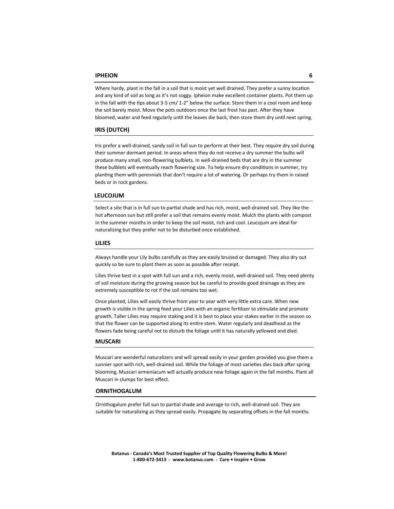#### **IPHEION 6**

Where hardy, plant in the fall in a soil that is moist yet well drained. They prefer a sunny location and any kind of soil as long as it's not soggy. Ipheion make excellent container plants. Pot them up in the fall with the tips about 3-5 cm/ 1-2" below the surface. Store them in a cool room and keep the soil barely moist. Move the pots outdoors once the last frost has past. After they have bloomed, water and feed regularly until the leaves die back, then store them dry until next spring.

#### **IRIS (DUTCH)**

Iris prefer a well-drained, sandy soil in full sun to perform at their best. They require dry soil during their summer dormant period. In areas where they do not receive a dry summer the bulbs will produce many small, non-flowering bulblets. In well-drained beds that are dry in the summer these bulblets will eventually reach flowering size. To help ensure dry conditions in summer, try planting them with perennials that don't require a lot of watering. Or perhaps try them in raised beds or in rock gardens.

#### **LEUCOJUM**

Select a site that is in full sun to partial shade and has rich, moist, well-drained soil. They like the hot afternoon sun but still prefer a soil that remains evenly moist. Mulch the plants with compost in the summer months in order to keep the soil moist, rich and cool. Leucojum are ideal for naturalizing but they prefer not to be disturbed once established.

#### **LILIES**

Always handle your Lily bulbs carefully as they are easily bruised or damaged. They also dry out quickly so be sure to plant them as soon as possible after receipt.

Lilies thrive best in a spot with full sun and a rich, evenly moist, well-drained soil. They need plenty of soil moisture during the growing season but be careful to provide good drainage as they are extremely susceptible to rot if the soil remains too wet.

Once planted, Lilies will easily thrive from year to year with very little extra care. When new growth is visible in the spring feed your Lilies with an organic fertilizer to stimulate and promote growth. Taller Lilies may require staking and it is best to place your stakes earlier in the season so that the flower can be supported along its entire stem. Water regularly and deadhead as the flowers fade being careful not to disturb the foliage until it has naturally yellowed and died.

#### **MUSCARI**

Muscari are wonderful naturalizers and will spread easily in your garden provided you give them a sunnier spot with rich, well-drained soil. While the foliage of most varieties dies back after spring blooming, Muscari armeniacum will actually produce new foliage again in the fall months. Plant all Muscari in clumps for best effect.

#### **ORNITHOGALUM**

Ornithogalum prefer full sun to partial shade and average to rich, well-drained soil. They are suitable for naturalizing as they spread easily. Propagate by separating offsets in the fall months.